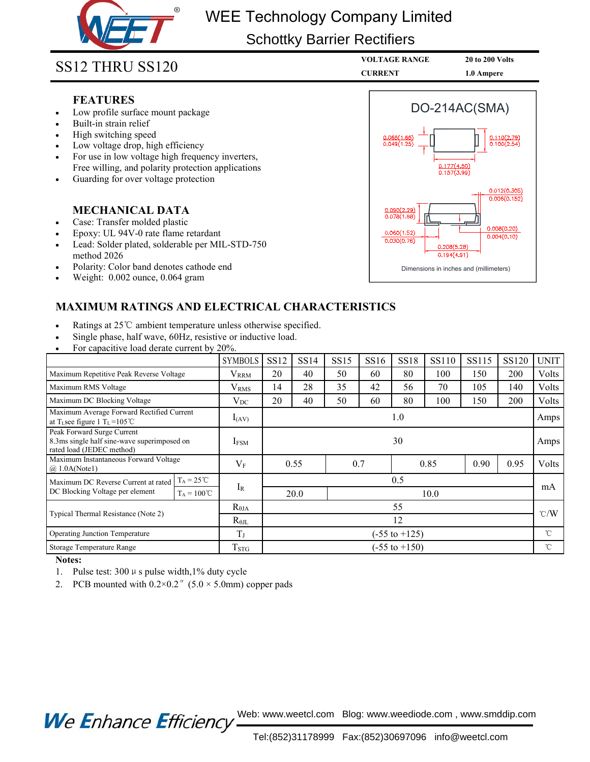

# WEE Technology Company Limited

## Schottky Barrier Rectifiers

## **FEATURES**

- 
- 
- 
- 
- Schottky Barrier R<br>
12 THRU SS120<br>
FEATURES<br>
Low profile surface mount package<br>
Built-in strain relief<br>
High switching speed<br>
Low voltage drop, high efficiency<br>
For use in low voltage high frequency inverters,<br>
Free willin Schottky Ba<br>
SS12 THRU SS120<br>
FEATURES<br>
• Low profile surface mount package<br>
• Built-in strain relief<br>
• High switching speed<br>
• Low voltage drop, high efficiency<br>
• For use in low voltage high frequency inverters,<br>
Free w
- 

- 
- 
- **MANU SS120**<br> **MECHANICAL SS120**<br> **FEATURES**<br>
Low profile surface mount package<br>
Built-in strain relief<br>
High switching speed<br>
Low voltage drop, high efficiency<br>
Free willing, and polarity protection applications<br>
Free wil **FEATURES**<br>
Low profile surface mount package<br>
Built-in strain relief<br>
High switching speed<br>
Cow voltage drop, high efficiency<br>
For use in low voltage high frequency inverters,<br>
Free willing, and polarity protection applic FEATURES<br>
Use Dow profile surface mount package<br>
Built-in strain relief<br>
High switching speed<br>
Low voltage drop, high efficiency<br>
Fror use in low voltage high frequency inverters,<br>
Free willing, and polarity protection app Low profile surface mount package<br>Built-in strain relief<br>High switching speed<br>Low voltage drop, high efficiency<br>For use in low voltage high frequency inverter:<br>Free willing, and polarity protection applicatio<br>Guarding for • Butl-in strain retier<br>• High switching speed<br>• Low voltage drop, high efficiency<br>• For use in low voltage high frequency inverters,<br>Free willing, and polarity protection applications<br>• Guarding for over voltage protectio • High switching speed<br>
• Low voltage drop, high efficiency<br>
• For use in low voltage high frequency inverters,<br>
Free willing, and polarity protection applications<br>
• Guarding for over voltage protection<br> **MECHANICAL DATA**
- 
- 



- 
- 
- 

| <b>MECHANICAL DATA</b>                                                                                                                                                                                                 |                         |                          |             |             |             |                                                                                                                                                                                |       |       | 0.012(0.305) |             |
|------------------------------------------------------------------------------------------------------------------------------------------------------------------------------------------------------------------------|-------------------------|--------------------------|-------------|-------------|-------------|--------------------------------------------------------------------------------------------------------------------------------------------------------------------------------|-------|-------|--------------|-------------|
| Case: Transfer molded plastic<br>Epoxy: UL 94V-0 rate flame retardant<br>Lead: Solder plated, solderable per MIL-STD-750<br>method 2026<br>Polarity: Color band denotes cathode end<br>Weight: 0.002 ounce, 0.064 gram |                         |                          |             |             |             | 0.006(0.152)<br>0.090(2.29)<br>0.078(1.98)<br>0.008(0.20)<br>0.060(1.52)<br>0.004(0.10)<br>0.030(0.76)<br>0.208(5.28)<br>0.194(4.91)<br>Dimensions in inches and (millimeters) |       |       |              |             |
| <b>MAXIMUM RATINGS AND ELECTRICAL CHARACTERISTICS</b>                                                                                                                                                                  |                         |                          |             |             |             |                                                                                                                                                                                |       |       |              |             |
| Ratings at 25°C ambient temperature unless otherwise specified.<br>Single phase, half wave, 60Hz, resistive or inductive load.<br>For capacitive load derate current by 20%.                                           |                         |                          |             |             |             |                                                                                                                                                                                |       |       |              |             |
|                                                                                                                                                                                                                        | <b>SYMBOLS</b>          | <b>SS12</b>              | <b>SS14</b> | <b>SS15</b> | <b>SS16</b> | <b>SS18</b>                                                                                                                                                                    | SS110 | SS115 | <b>SS120</b> | <b>UNIT</b> |
| Maximum Repetitive Peak Reverse Voltage                                                                                                                                                                                | <b>VRRM</b>             | 20                       | 40          | 50          | 60          | 80                                                                                                                                                                             | 100   | 150   | 200          | Volts       |
| Maximum RMS Voltage                                                                                                                                                                                                    | $\rm V_{RMS}$           | 14                       | 28          | 35          | 42          | 56                                                                                                                                                                             | 70    | 105   | 140          | Volts       |
| Maximum DC Blocking Voltage                                                                                                                                                                                            | $V_{DC}$                | 20                       | 40          | 50          | 60          | 80                                                                                                                                                                             | 100   | 150   | 200          | Volts       |
| Maximum Average Forward Rectified Current<br>at T <sub>L</sub> see figure 1 T <sub>L</sub> =105°C                                                                                                                      | $I_{(AV)}$              | 1.0                      |             |             |             |                                                                                                                                                                                |       |       | Amps         |             |
| Peak Forward Surge Current<br>8.3ms single half sine-wave superimposed on<br>rated load (JEDEC method)                                                                                                                 | <b>IFSM</b>             |                          |             |             |             | 30                                                                                                                                                                             |       |       |              |             |
| Maximum Instantaneous Forward Voltage<br>(a) 1.0A(Note1)                                                                                                                                                               | $V_F$                   | 0.55                     |             |             | 0.7<br>0.85 |                                                                                                                                                                                |       | 0.90  | 0.95         | Volts       |
| $T_A = 25^{\circ}C$<br>Maximum DC Reverse Current at rated<br>DC Blocking Voltage per element                                                                                                                          | $I_{R}$                 |                          |             |             |             | 0.5                                                                                                                                                                            |       |       |              | mA          |
| $T_A = 100^{\circ}C$                                                                                                                                                                                                   |                         | 20.0                     |             |             |             | 10.0                                                                                                                                                                           |       |       |              |             |
| Typical Thermal Resistance (Note 2)                                                                                                                                                                                    | $R_{\theta JA}$         | 55<br>$\degree$ C/W      |             |             |             |                                                                                                                                                                                |       |       |              |             |
|                                                                                                                                                                                                                        | $R_{\theta IL}$         | 12                       |             |             |             |                                                                                                                                                                                |       |       |              |             |
| Operating Junction Temperature                                                                                                                                                                                         | $T_{J}$                 | $(-55 \text{ to } +125)$ |             |             |             |                                                                                                                                                                                |       |       | °C           |             |
| Storage Temperature Range                                                                                                                                                                                              | <b>T</b> <sub>STG</sub> | $(-55 \text{ to } +150)$ |             |             |             |                                                                                                                                                                                |       |       | $^{\circ}$ C |             |

### **Notes:**

- 
- 

Web: www.weetcl.com Blog: www.weediode.com , www.smddip.com **We Enhance Efficiency**